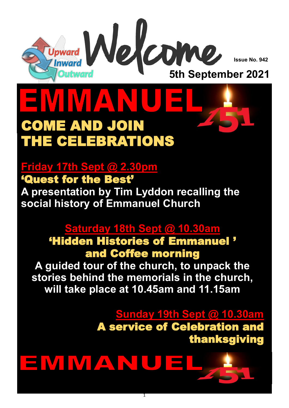

**Issue No. 942**

## $\sqrt{1}$ COME AND JOIN THE CELEBRATIONS

### **Friday 17th Sept @ 2.30pm**

#### 'Quest for the Best'

**A presentation by Tim Lyddon recalling the social history of Emmanuel Church** 

#### **Saturday 18th Sept @ 10.30am**

'Hidden Histories of Emmanuel ' and Coffee morning

**A guided tour of the church, to unpack the stories behind the memorials in the church, will take place at 10.45am and 11.15am** 

> **Sunday 19th Sept @ 10.30am**  A service of Celebration and thanksgiving



1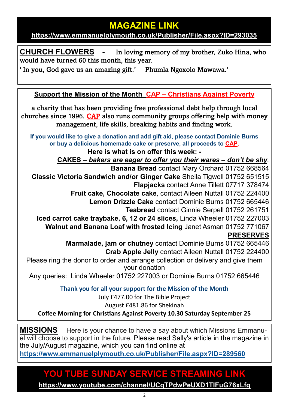#### **MAGAZINE LINK**

**<https://www.emmanuelplymouth.co.uk/Publisher/File.aspx?ID=293035>**

**CHURCH FLOWERS -** In loving memory of my brother, Zuko Hina, who would have turned 60 this month, this year.

' In you, God gave us an amazing gift.' Phumla Ngoxolo Mawawa.'

**Support the Mission of the Month CAP – [Christians Against Poverty](https://capuk.org/)**

a charity that has been providing free professional debt help through local churches since 1996. [CAP](https://capuk.org/) also runs community groups offering help with money management, life skills, breaking habits and finding work.

**If you would like to give a donation and add gift aid, please contact Dominie Burns or buy a delicious homemade cake or preserve, all proceeds to [CAP.](https://capuk.org/)**

**Here is what is on offer this week: -**

**CAKES –** *bakers are eager to offer you their wares – don't be shy.* 

**Banana Bread** contact Mary Orchard 01752 668564 **Classic Victoria Sandwich and/or Ginger Cake** Sheila Tigwell 01752 651515 **Flapjacks** contact Anne Tillett 07717 378474

**Fruit cake, Chocolate cake**, contact Aileen Nuttall 01752 224400

**Lemon Drizzle Cake** contact Dominie Burns 01752 665446

**Teabread** contact Ginnie Serpell 01752 261751

**Iced carrot cake traybake, 6, 12 or 24 slices,** Linda Wheeler 01752 227003 **Walnut and Banana Loaf with frosted Icing** Janet Asman 01752 771067

**PRESERVES**

**Marmalade, jam or chutney** contact Dominie Burns 01752 665446 **Crab Apple Jelly** contact Aileen Nuttall 01752 224400

Please ring the donor to order and arrange collection or delivery and give them your donation

Any queries: Linda Wheeler 01752 227003 or Dominie Burns 01752 665446

**Thank you for all your support for the Mission of the Month**

July £477.00 for The Bible Project

August £481.86 for Shekinah

**Coffee Morning for Christians Against Poverty 10.30 Saturday September 25**

**MISSIONS** Here is your chance to have a say about which Missions Emmanuel will choose to support in the future. Please read Sally's article in the magazine in the July/August magazine, which you can find online at

**<https://www.emmanuelplymouth.co.uk/Publisher/File.aspx?ID=289560>**

#### **YOU TUBE SUNDAY SERVICE STREAMING LINK**

**<https://www.youtube.com/channel/UCqTPdwPeUXD1TIFuG76xLfg>**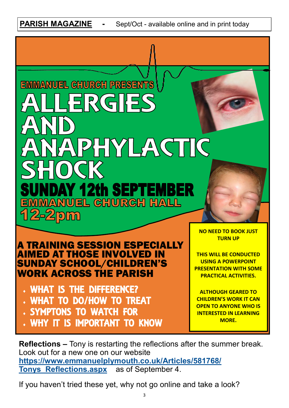**PARISH MAGAZINE -** Sept/Oct - available online and in print today

# EMMANUEL CHURCH PRESENTS PHYLACTIC **12th SEPTEMBER** NUEL CHURCH HALL  $2-2$ pm

A TRAINING SESSION ESPECIALLY IMED AT THOSE INVOLVED IN SUNDAY SCHOOL/CHILDREN'S WORK ACROSS THE PARISH

- WHAT IS THE DIFFERENCE?
- WHAT TO DO/HOW TO TREAT
- SYMPTONS TO WATCH FOR
- WHY IT IS IMPORTANT TO KNOW

**NO NEED TO BOOK JUST TURN UP**

**THIS WILL BE CONDUCTED USING A POWERPOINT PRESENTATION WITH SOME PRACTICAL ACTIVITIES.**

**ALTHOUGH GEARED TO CHILDREN'S WORK IT CAN OPEN TO ANYONE WHO IS INTERESTED IN LEARNING MORE.**

**Reflections –** Tony is restarting the reflections after the summer break. Look out for a new one on our website **[https://www.emmanuelplymouth.co.uk/Articles/581768/](https://www.emmanuelplymouth.co.uk/Articles/581768/Tonys_Reflections.aspx) [Tonys\\_Reflections.aspx](https://www.emmanuelplymouth.co.uk/Articles/581768/Tonys_Reflections.aspx)** as of September 4.

If you haven't tried these yet, why not go online and take a look?